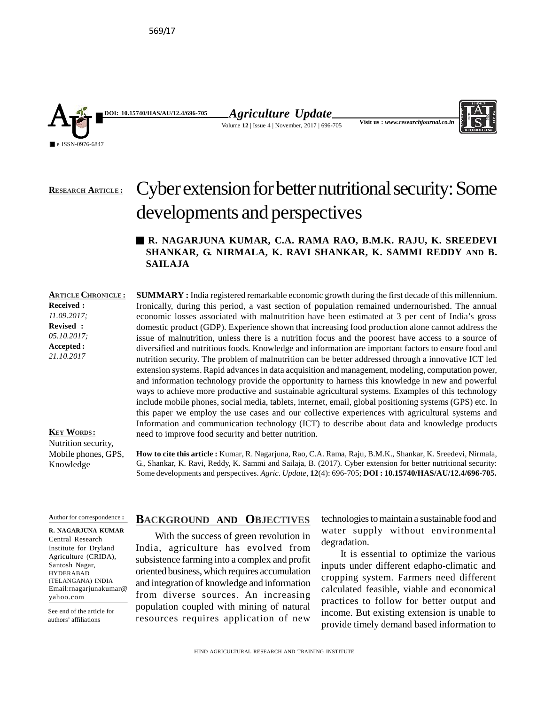

*Agriculture Update* Volume **12** | Issue 4 | November, 2017 | 696-705



# Cyber extension for better nutritional security: Some developments and perspectives **RESEARCH ARTICLE :**

# **R. NAGARJUNA KUMAR, C.A. RAMA RAO, B.M.K. RAJU, K. SREEDEVI SHANKAR, G. NIRMALA, K. RAVI SHANKAR, K. SAMMI REDDY AND B. SAILAJA**

**ARTICLE CHRONICLE : Received :** *11.09.2017;* **Revised :** *05.10.2017;* **Accepted :** *21.10.2017*

**SUMMARY** : India registered remarkable economic growth during the first decade of this millennium. Ironically, during this period, a vast section of population remained undernourished. The annual economic losses associated with malnutrition have been estimated at 3 per cent of India's gross domestic product (GDP). Experience shown that increasing food production alone cannot address the issue of malnutrition, unless there is a nutrition focus and the poorest have access to a source of diversified and nutritious foods. Knowledge and information are important factors to ensure food and nutrition security. The problem of malnutrition can be better addressed through a innovative ICT led extension systems. Rapid advances in data acquisition and management, modeling, computation power, and information technology provide the opportunity to harness this knowledge in new and powerful ways to achieve more productive and sustainable agricultural systems. Examples of this technology include mobile phones, social media, tablets, internet, email, global positioning systems (GPS) etc. In this paper we employ the use cases and our collective experiences with agricultural systems and Information and communication technology (ICT) to describe about data and knowledge products need to improve food security and better nutrition.

**KEY WORDS :** Nutrition security, Mobile phones, GPS, Knowledge

**How to cite this article :** Kumar, R. Nagarjuna, Rao, C.A. Rama, Raju, B.M.K., Shankar, K. Sreedevi, Nirmala, G., Shankar, K. Ravi, Reddy, K. Sammi and Sailaja, B. (2017). Cyber extension for better nutritional security: Some developments and perspectives. *Agric. Update*, **12**(4): 696-705; **DOI : 10.15740/HAS/AU/12.4/696-705.**

**A**uthor for correspondence **:**

**R. NAGARJUNA KUMAR** Central Research Institute for Dryland Agriculture (CRIDA), Santosh Nagar, HYDERABAD (TELANGANA) INDIA Email:rnagarjunakumar@ yahoo.com

See end of the article for authors' affiliations

# **BACKGROUND AND OBJECTIVES**

With the success of green revolution in India, agriculture has evolved from subsistence farming into a complex and profit oriented business, which requires accumulation and integration of knowledge and information from diverse sources. An increasing population coupled with mining of natural resources requires application of new

technologies to maintain a sustainable food and water supply without environmental degradation.

It is essential to optimize the various inputs under different edapho-climatic and cropping system. Farmers need different calculated feasible, viable and economical practices to follow for better output and income. But existing extension is unable to provide timely demand based information to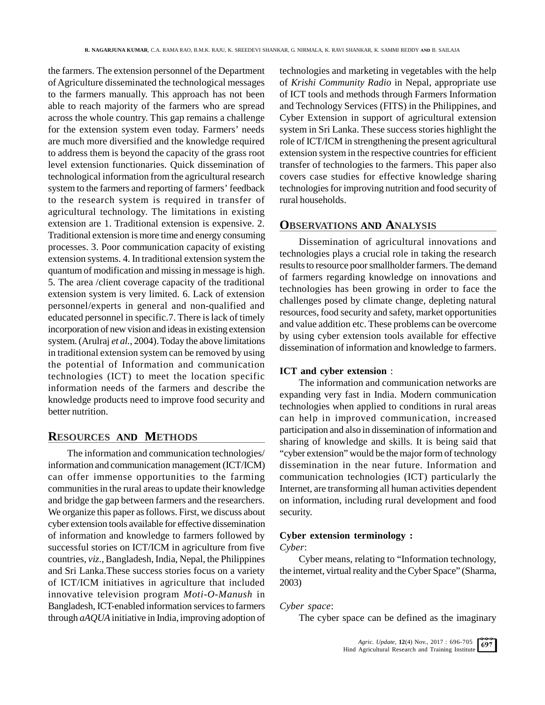the farmers. The extension personnel of the Department of Agriculture disseminated the technological messages to the farmers manually. This approach has not been able to reach majority of the farmers who are spread across the whole country. This gap remains a challenge for the extension system even today. Farmers' needs are much more diversified and the knowledge required to address them is beyond the capacity of the grass root level extension functionaries. Quick dissemination of technological information from the agricultural research system to the farmers and reporting of farmers' feedback to the research system is required in transfer of agricultural technology. The limitations in existing extension are 1. Traditional extension is expensive. 2. Traditional extension is more time and energy consuming processes. 3. Poor communication capacity of existing extension systems. 4. In traditional extension system the quantum of modification and missing in message is high. 5. The area /client coverage capacity of the traditional extension system is very limited. 6. Lack of extension personnel/experts in general and non-qualified and educated personnel in specific.7. There is lack of timely incorporation of new vision and ideas in existing extension system. (Arulraj *et al.*, 2004). Today the above limitations in traditional extension system can be removed by using the potential of Information and communication technologies (ICT) to meet the location specific information needs of the farmers and describe the knowledge products need to improve food security and better nutrition.

# **RESOURCES AND METHODS**

The information and communication technologies/ information and communication management (ICT/ICM) can offer immense opportunities to the farming communities in the rural areas to update their knowledge and bridge the gap between farmers and the researchers. We organize this paper as follows. First, we discuss about cyber extension tools available for effective dissemination of information and knowledge to farmers followed by successful stories on ICT/ICM in agriculture from five countries, *viz*., Bangladesh, India, Nepal, the Philippines and Sri Lanka.These success stories focus on a variety of ICT/ICM initiatives in agriculture that included innovative television program *Moti-O-Manush* in Bangladesh, ICT-enabled information services to farmers through *aAQUA* initiative in India, improving adoption of technologies and marketing in vegetables with the help of *Krishi Community Radio* in Nepal, appropriate use of ICT tools and methods through Farmers Information and Technology Services (FITS) in the Philippines, and Cyber Extension in support of agricultural extension system in Sri Lanka. These success stories highlight the role of ICT/ICM in strengthening the present agricultural extension system in the respective countries for efficient transfer of technologies to the farmers. This paper also covers case studies for effective knowledge sharing technologies for improving nutrition and food security of rural households.

### **OBSERVATIONS AND ANALYSIS**

Dissemination of agricultural innovations and technologies plays a crucial role in taking the research results to resource poor smallholder farmers. The demand of farmers regarding knowledge on innovations and technologies has been growing in order to face the challenges posed by climate change, depleting natural resources, food security and safety, market opportunities and value addition etc. These problems can be overcome by using cyber extension tools available for effective dissemination of information and knowledge to farmers.

#### **ICT and cyber extension** :

The information and communication networks are expanding very fast in India. Modern communication technologies when applied to conditions in rural areas can help in improved communication, increased participation and also in dissemination of information and sharing of knowledge and skills. It is being said that "cyber extension" would be the major form of technology dissemination in the near future. Information and communication technologies (ICT) particularly the Internet, are transforming all human activities dependent on information, including rural development and food security.

### **Cyber extension terminology :**

*Cyber*:

Cyber means, relating to "Information technology, the internet, virtual reality and the Cyber Space" (Sharma, 2003)

### *Cyber space*:

The cyber space can be defined as the imaginary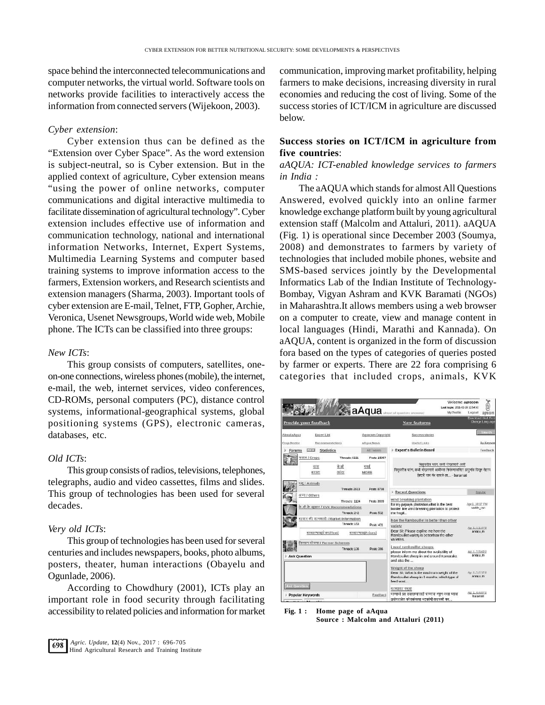space behind the interconnected telecommunications and computer networks, the virtual world. Software tools on networks provide facilities to interactively access the information from connected servers (Wijekoon, 2003).

#### *Cyber extension*:

Cyber extension thus can be defined as the "Extension over Cyber Space". As the word extension is subject-neutral, so is Cyber extension. But in the applied context of agriculture, Cyber extension means "using the power of online networks, computer communications and digital interactive multimedia to facilitate dissemination of agricultural technology". Cyber extension includes effective use of information and communication technology, national and international information Networks, Internet, Expert Systems, Multimedia Learning Systems and computer based training systems to improve information access to the farmers, Extension workers, and Research scientists and extension managers (Sharma, 2003). Important tools of cyber extension are E-mail, Telnet, FTP Veronica, Usenet Newsgroups, World w phone. The ICTs can be classified into

#### *New ICTs*:

This group consists of computers, satellites, oneon-one connections, wireless phones(mobile), the internet, e-mail, the web, internet services, video conferences, CD-ROMs, personal computers (PC), distance control systems, informational-geographical systems, global positioning systems (GPS), electronic cameras, databases, etc.

#### *Old ICTs*:

This group consists of radios, televisions, telephones, telegraphs, audio and video cassettes, films and slides. This group of technologies has been used for several decades.

#### *Very old ICTs*:

This group of technologies has been used for several centuries and includes newspapers, books, photo albums, posters, theater, human interactions (Obayelu and Ogunlade*,* 2006).

According to Chowdhury (2001), ICTs play an important role in food security through facilitating accessibility to related policies and information for market

communication, improving market profitability, helping farmers to make decisions, increasing diversity in rural economies and reducing the cost of living. Some of the success stories of ICT/ICM in agriculture are discussed below.

### **Success stories on ICT/ICM in agriculture from five countries**:

### *aAQUA: ICT-enabled knowledge services to farmers in India :*

The aAQUA which stands for almost All Questions Answered, evolved quickly into an online farmer knowledge exchange platform built by young agricultural extension staff (Malcolm and Attaluri, 2011). aAQUA (Fig. 1) is operational since December 2003 (Soumya, 2008) and demonstrates to farmers by variety of technologies that included mobile phones, website and SMS-based services jointly by the Developmental Informatics Lab of the Indian Institute of Technology-Bombay, Vigyan Ashram and KVK Baramati (NGOs) bers using a web browser w and manage content in rathi and Kannada). On aAQUA, content is organized in the form of discussion fora based on the types of categories of queries posted by farmer or experts. There are 22 fora comprising 6 categories that included crops, animals, KVK

|              |                                                        |                   | Welcome: agrocom<br>Lest login: 2011-02-28 12:54:50                                                                            |                                                                                                                     |  |
|--------------|--------------------------------------------------------|-------------------|--------------------------------------------------------------------------------------------------------------------------------|---------------------------------------------------------------------------------------------------------------------|--|
|              |                                                        |                   | <b>aAqua</b> almost all governors answered<br>My Profile                                                                       | Logoutt<br>agrocom                                                                                                  |  |
|              | Provide your feedback                                  |                   | <b>New features</b>                                                                                                            | Downsed Hindi Ford<br>Change Language                                                                               |  |
| About aAgua  | Expert List                                            | Agrocom Copyright | Success stores                                                                                                                 | <b>STEP</b>                                                                                                         |  |
| Crop Doctor  | Recommendations                                        | <b>AAGUA News</b> | <b>Useful Links</b>                                                                                                            | By Keywon                                                                                                           |  |
| Forums       | $13.4 - 8$<br><b>Statistics</b>                        | Al Famos          | Expert's Bulletin Board                                                                                                        | Feedback                                                                                                            |  |
|              | फसल। Crops<br>Threads: 6221                            | Posts: 15057      |                                                                                                                                |                                                                                                                     |  |
|              | के ळी<br>कस<br>कादा<br>15159                           | पपई<br>MORE       | चिकवरील पतन, कश्री पोखरणाएँ अली                                                                                                | विकृतरील पतंग, कब्बे पोखरणारी अब्बीच्या नियंत्रणकरिता प्रादर्भाव दिखून येताच<br>डेक्टरी पाच गंध सापळे ला - baramati |  |
|              | elaminAl BP<br>Threads: 2823                           | Posts: 8798       | <b>Recent Questions</b>                                                                                                        | <b>Popular</b>                                                                                                      |  |
|              | अन्य। Others<br>Throads: 1124                          | Posts: 3009       | wind breaking plantation                                                                                                       |                                                                                                                     |  |
|              | के.बी.के सुन्नाव / KVK Recommendations<br>Threads: 242 | Posts: 532        | for my papaya plantation, what is the best<br>border line wind breaking plantation to protect<br>the fracil                    | Apr 1, 10:17 PM<br>saride rao                                                                                       |  |
|              | बाजार की जानकारी / Market Information                  |                   | how the Rambouillet is better than other                                                                                       |                                                                                                                     |  |
|              | Threads: 153                                           | Posts: 431        | vatiety                                                                                                                        | Nor 1, 6:15 PM                                                                                                      |  |
|              | बाजारमाव(टेक्ट/Text)                                   | बाजारमाव(Prices)  | Dear Sir, Please expline me how the<br>Rambouilet variety is betterthan the other<br>varieties.                                | anraju m                                                                                                            |  |
|              | कैसान योजना / Farmer Schemes                           |                   | i need rambouillet sheeps.                                                                                                     |                                                                                                                     |  |
| Ask Question | Threads: 136                                           | Posts: 366        | please inform me about the availability of<br>Rambouillet sheep in and around Karnataka<br>and also the                        | Apr 1, 5:59 PM<br>anrau m                                                                                           |  |
|              |                                                        |                   | Weight of the sheep<br>Dear Sir, What is the maximum weight of the<br>Rambouilet sheep in 8 months, which type of<br>leed woul | Apr 1, 5:22 PM<br>annu m                                                                                            |  |
| sk Questini  | Popular Keywords<br>M.A. Margaret Li                   | Feedback          | पाण्याचा ननुना<br>पाणाची प्रत तपासण्यसाठी पाणाचा नमुन करता ध्याना<br>प्रयोगशालेत कोणकोणत्या घटकांची तपासणी कर                  | Apr 1, 4:48 PM<br>baramati                                                                                          |  |

**Fig. 1 : Home page of aAqua Source : Malcolm and Attaluri (2011)**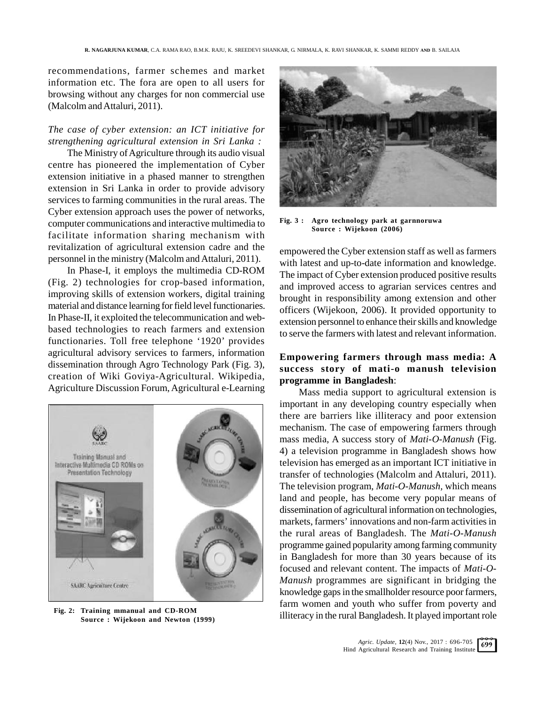recommendations, farmer schemes and market information etc. The fora are open to all users for browsing without any charges for non commercial use (Malcolm and Attaluri, 2011).

### *The case of cyber extension: an ICT initiative for strengthening agricultural extension in Sri Lanka :*

The Ministry of Agriculture through its audio visual centre has pioneered the implementation of Cyber extension initiative in a phased manner to strengthen extension in Sri Lanka in order to provide advisory services to farming communities in the rural areas. The Cyber extension approach uses the power of networks,<br>computer communications and interactive multimedia to Fig. 3: computer communications and interactive multimedia to facilitate information sharing mechanism with revitalization of agricultural extension cadre and the personnel in the ministry (Malcolm and Attaluri, 2011).

In Phase-I, it employs the multimedia CD-ROM (Fig. 2) technologies for crop-based information, improving skills of extension workers, digital training material and distance learning for field level functionaries. In Phase-II, it exploited the telecommunication and webbased technologies to reach farmers and extension functionaries. Toll free telephone '1920' provides agricultural advisory services to farmers, information dissemination through Agro Technology Park (Fig. 3), creation of Wiki Goviya-Agricultural. Wikipedia, Agriculture Discussion Forum, Agricultural e-Learning



 **Fig. 2: Training mmanual and CD-ROM Source : Wijekoon and Newton (1999)**



**Fig. 3 : Agro technology park at garnnoruwa Source : Wijekoon (2006)**

empowered the Cyber extension staff as well as farmers with latest and up-to-date information and knowledge. The impact of Cyber extension produced positive results and improved access to agrarian services centres and brought in responsibility among extension and other officers (Wijekoon, 2006). It provided opportunity to extension personnel to enhance their skills and knowledge to serve the farmers with latest and relevant information.

## **Empowering farmers through mass media: A success story of mati-o manush television programme in Bangladesh**:

Mass media support to agricultural extension is important in any developing country especially when there are barriers like illiteracy and poor extension mechanism. The case of empowering farmers through mass media, A success story of *Mati-O-Manush* (Fig. 4) a television programme in Bangladesh shows how television has emerged as an important ICT initiative in transfer of technologies (Malcolm and Attaluri, 2011). The television program, *Mati-O-Manush,* which means land and people, has become very popular means of dissemination of agricultural information on technologies, markets, farmers' innovations and non-farm activities in the rural areas of Bangladesh. The *Mati-O-Manush* programme gained popularity among farming community in Bangladesh for more than 30 years because of its focused and relevant content. The impacts of *Mati-O-Manush* programmes are significant in bridging the knowledge gaps in the smallholder resource poor farmers, farm women and youth who suffer from poverty and illiteracy in the rural Bangladesh. It played important role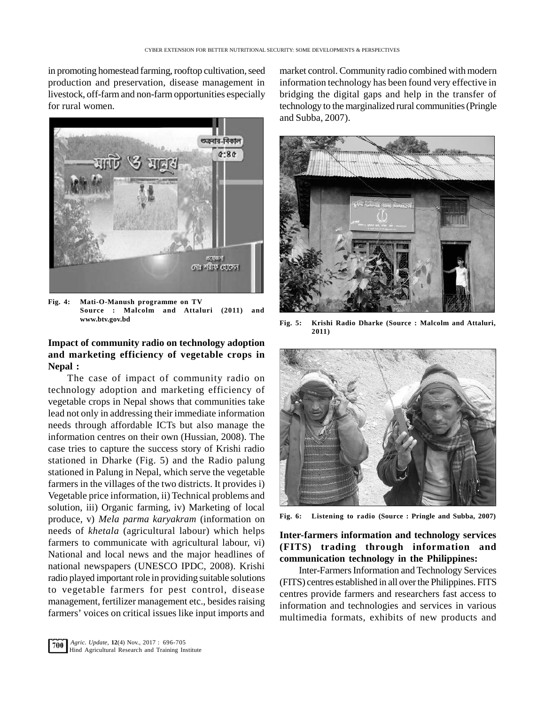in promoting homestead farming, rooftop cultivation, seed production and preservation, disease management in livestock, off-farm and non-farm opportunities especially for rural women.



**Fig. 4: Mati-O-Manush programme on TV Source : Malcolm and Attaluri (2011) and www.btv.gov.bd**

### **Impact of community radio on technology adoption and marketing efficiency of vegetable crops in Nepal :**

The case of impact of community radio on technology adoption and marketing efficiency of vegetable crops in Nepal shows that communities take lead not only in addressing their immediate information needs through affordable ICTs but also manage the information centres on their own (Hussian, 2008). The case tries to capture the success story of Krishi radio stationed in Dharke (Fig. 5) and the Radio palung stationed in Palung in Nepal, which serve the vegetable farmers in the villages of the two districts. It provides i) Vegetable price information, ii) Technical problems and solution, iii) Organic farming, iv) Marketing of local<br>produce v) Mala narma kanyakran (information on Fig. 6: produce, v) *Mela parma karyakram* (information on needs of *khetala* (agricultural labour) which helps farmers to communicate with agricultural labour, vi) National and local news and the major headlines of national newspapers (UNESCO IPDC, 2008). Krishi radio played important role in providing suitable solutions to vegetable farmers for pest control, disease management, fertilizer management etc., besides raising farmers' voices on critical issues like input imports and

market control. Community radio combined with modern information technology has been found very effective in bridging the digital gaps and help in the transfer of technology to the marginalized rural communities (Pringle and Subba*,* 2007).



**Fig. 5: Krishi Radio Dharke (Source : Malcolm and Attaluri, 2011)**



**Fig. 6: Listening to radio (Source : Pringle and Subba, 2007)**

# **Inter-farmers information and technology services (FITS) trading through information and communication technology in the Philippines:**

Inter-Farmers Information and Technology Services (FITS) centres established in all over the Philippines. FITS centres provide farmers and researchers fast access to information and technologies and services in various multimedia formats, exhibits of new products and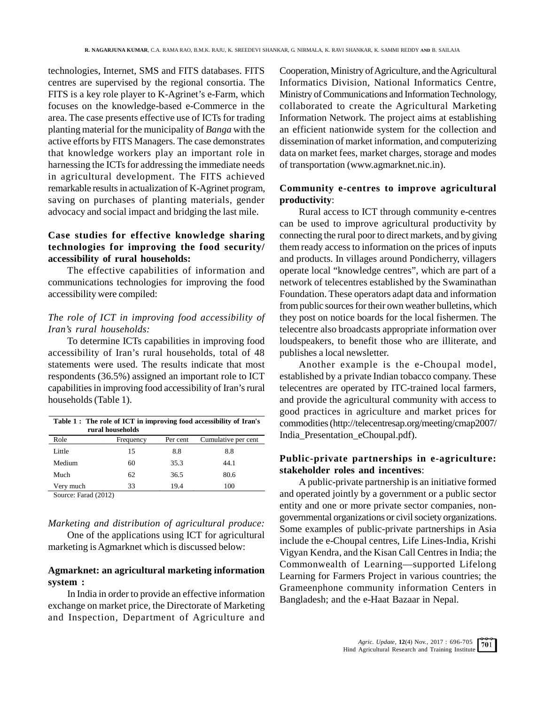technologies, Internet, SMS and FITS databases. FITS centres are supervised by the regional consortia. The FITS is a key role player to K-Agrinet's e-Farm, which focuses on the knowledge-based e-Commerce in the area. The case presents effective use of ICTs for trading planting material for the municipality of *Banga* with the active efforts by FITS Managers. The case demonstrates that knowledge workers play an important role in harnessing the ICTs for addressing the immediate needs in agricultural development. The FITS achieved remarkable results in actualization of K-Agrinet program, saving on purchases of planting materials, gender advocacy and social impact and bridging the last mile.

# **Case studies for effective knowledge sharing technologies for improving the food security/ accessibility of rural households:**

The effective capabilities of information and communications technologies for improving the food accessibility were compiled:

### *The role of ICT in improving food accessibility of Iran's rural households:*

To determine ICTs capabilities in improving food accessibility of Iran's rural households, total of 48 statements were used. The results indicate that most respondents (36.5%) assigned an important role to ICT capabilities in improving food accessibility of Iran's rural households (Table 1).

| Table 1: The role of ICT in improving food accessibility of Iran's<br>rural households |           |          |                     |  |  |  |
|----------------------------------------------------------------------------------------|-----------|----------|---------------------|--|--|--|
| Role                                                                                   | Frequency | Per cent | Cumulative per cent |  |  |  |
| Little                                                                                 | 15        | 8.8      | 8.8                 |  |  |  |
| Medium                                                                                 | 60        | 35.3     | 44.1                |  |  |  |
| Much                                                                                   | 62        | 36.5     | 80.6                |  |  |  |
| Very much                                                                              | 33        | 19.4     | 100                 |  |  |  |
| Source: Farad(2012)                                                                    |           |          |                     |  |  |  |

Source: Farad (2012)

# *Marketing and distribution of agricultural produce:*

One of the applications using ICT for agricultural marketing is Agmarknet which is discussed below:

### **Agmarknet: an agricultural marketing information system :**

In India in order to provide an effective information exchange on market price, the Directorate of Marketing and Inspection, Department of Agriculture and

Cooperation, Ministry of Agriculture, and the Agricultural Informatics Division, National Informatics Centre, Ministry of Communications and Information Technology, collaborated to create the Agricultural Marketing Information Network. The project aims at establishing an efficient nationwide system for the collection and dissemination of market information, and computerizing data on market fees, market charges, storage and modes of transportation (www.agmarknet.nic.in).

### **Community e-centres to improve agricultural productivity**:

Rural access to ICT through community e-centres can be used to improve agricultural productivity by connecting the rural poor to direct markets, and by giving them ready access to information on the prices of inputs and products. In villages around Pondicherry, villagers operate local "knowledge centres", which are part of a network of telecentres established by the Swaminathan Foundation. These operators adapt data and information from public sources for their own weather bulletins, which they post on notice boards for the local fishermen. The telecentre also broadcasts appropriate information over loudspeakers, to benefit those who are illiterate, and publishes a local newsletter.

Another example is the e-Choupal model, established by a private Indian tobacco company. These telecentres are operated by ITC-trained local farmers, and provide the agricultural community with access to good practices in agriculture and market prices for commodities (http://telecentresap.org/meeting/cmap2007/ India\_Presentation\_eChoupal.pdf).

### **Public-private partnerships in e-agriculture: stakeholder roles and incentives**:

A public-private partnership is an initiative formed and operated jointly by a government or a public sector entity and one or more private sector companies, nongovernmental organizations or civil society organizations. Some examples of public-private partnerships in Asia include the e-Choupal centres, Life Lines-India, Krishi Vigyan Kendra, and the Kisan Call Centres in India; the Commonwealth of Learning—supported Lifelong Learning for Farmers Project in various countries; the Grameenphone community information Centers in Bangladesh; and the e-Haat Bazaar in Nepal.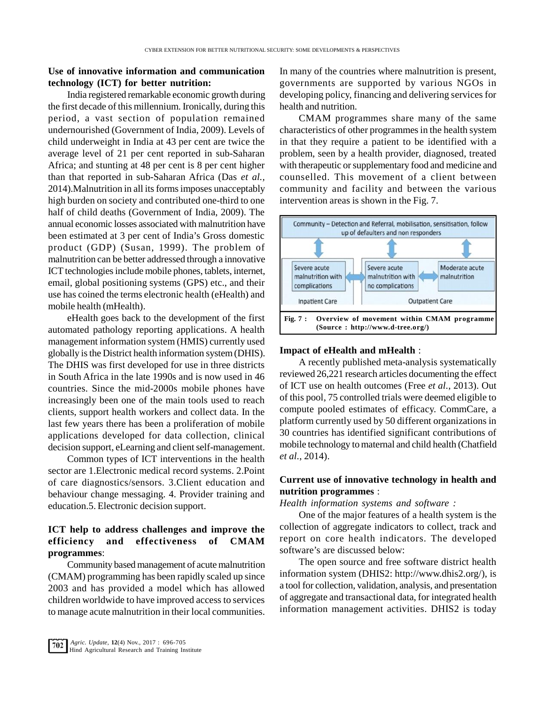### **Use of innovative information and communication technology (ICT) for better nutrition:**

India registered remarkable economic growth during the first decade of this millennium. Ironically, during this period, a vast section of population remained undernourished (Government of India, 2009). Levels of child underweight in India at 43 per cent are twice the average level of 21 per cent reported in sub-Saharan Africa; and stunting at 48 per cent is 8 per cent higher than that reported in sub-Saharan Africa (Das *et al.,* 2014).Malnutrition in all its forms imposes unacceptably high burden on society and contributed one-third to one half of child deaths (Government of India, 2009). The been estimated at 3 per cent of India's Gross domestic product (GDP) (Susan, 1999). The problem of malnutrition can be better addressed through a innovative ICT technologies include mobile phones, tablets, internet, email, global positioning systems (GPS) etc., and their use has coined the terms electronic health (eHealth) and mobile health (mHealth).

eHealth goes back to the development of the first  $\left| \right|$  Fig. 7: automated pathology reporting applications. A health management information system (HMIS) currently used globally is the District health information system (DHIS). The DHIS was first developed for use in three districts in South Africa in the late 1990s and is now used in 46 countries. Since the mid-2000s mobile phones have increasingly been one of the main tools used to reach clients, support health workers and collect data. In the last few years there has been a proliferation of mobile applications developed for data collection, clinical decision support, eLearning and client self-management.

Common types of ICT interventions in the health sector are 1.Electronic medical record systems. 2.Point of care diagnostics/sensors. 3.Client education and behaviour change messaging. 4. Provider training and education.5. Electronic decision support.

# **ICT help to address challenges and improve the efficiency and effectiveness of CMAM programmes**:

Community based management of acute malnutrition (CMAM) programming has been rapidly scaled up since 2003 and has provided a model which has allowed children worldwide to have improved access to services to manage acute malnutrition in their local communities.

In many of the countries where malnutrition is present, governments are supported by various NGOs in developing policy, financing and delivering services for health and nutrition.

CMAM programmes share many of the same characteristics of other programmes in the health system in that they require a patient to be identified with a problem, seen by a health provider, diagnosed, treated with therapeutic or supplementary food and medicine and counselled. This movement of a client between community and facility and between the various intervention areas is shown in the Fig. 7.



#### **Impact of eHealth and mHealth** :

A recently published meta-analysis systematically reviewed 26,221 research articles documenting the effect of ICT use on health outcomes (Free *et al.*, 2013). Out of this pool, 75 controlled trials were deemed eligible to compute pooled estimates of efficacy. CommCare, a platform currently used by 50 different organizations in 30 countries has identified significant contributions of mobile technology to maternal and child health (Chatfield *et al.*, 2014).

## **Current use of innovative technology in health and nutrition programmes** :

*Health information systems and software :*

One of the major features of a health system is the collection of aggregate indicators to collect, track and report on core health indicators. The developed software's are discussed below:

The open source and free software district health information system (DHIS2: http://www.dhis2.org/), is a tool for collection, validation, analysis, and presentation of aggregate and transactional data, for integrated health information management activities. DHIS2 is today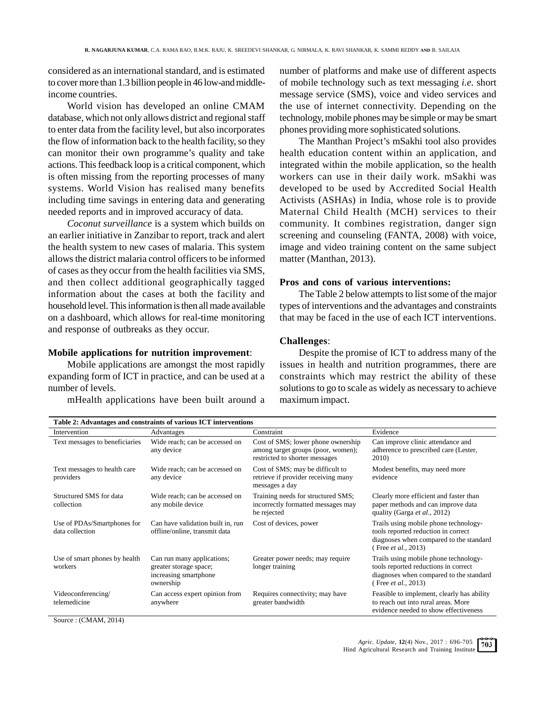considered as an international standard, and is estimated to cover more than 1.3 billion people in 46 low-and middleincome countries.

World vision has developed an online CMAM database, which not only allows district and regional staff to enter data from the facility level, but also incorporates the flow of information back to the health facility, so they can monitor their own programme's quality and take actions. This feedback loop is a critical component, which is often missing from the reporting processes of many systems. World Vision has realised many benefits including time savings in entering data and generating needed reports and in improved accuracy of data.

*Coconut surveillance* is a system which builds on an earlier initiative in Zanzibar to report, track and alert the health system to new cases of malaria. This system allows the district malaria control officers to be informed of cases as they occur from the health facilities via SMS, and then collect additional geographically tagged information about the cases at both the facility and household level. This information is then all made available on a dashboard, which allows for real-time monitoring and response of outbreaks as they occur.

#### **Mobile applications for nutrition improvement**:

Mobile applications are amongst the most rapidly expanding form of ICT in practice, and can be used at a number of levels.

mHealth applications have been built around a

number of platforms and make use of different aspects of mobile technology such as text messaging *i.e.* short message service (SMS), voice and video services and the use of internet connectivity. Depending on the technology, mobile phones may be simple or may be smart phones providing more sophisticated solutions.

The Manthan Project's mSakhi tool also provides health education content within an application, and integrated within the mobile application, so the health workers can use in their daily work. mSakhi was developed to be used by Accredited Social Health Activists (ASHAs) in India, whose role is to provide Maternal Child Health (MCH) services to their community. It combines registration, danger sign screening and counseling (FANTA, 2008) with voice, image and video training content on the same subject matter (Manthan, 2013).

#### **Pros and cons of various interventions:**

The Table 2 below attempts to list some of the major types of interventions and the advantages and constraints that may be faced in the use of each ICT interventions.

#### **Challenges**:

Despite the promise of ICT to address many of the issues in health and nutrition programmes, there are constraints which may restrict the ability of these solutions to go to scale as widely as necessary to achieve maximum impact.

| Table 2: Advantages and constraints of various ICT interventions |                                                                                            |                                                                                                            |                                                                                                                                                         |  |  |  |  |
|------------------------------------------------------------------|--------------------------------------------------------------------------------------------|------------------------------------------------------------------------------------------------------------|---------------------------------------------------------------------------------------------------------------------------------------------------------|--|--|--|--|
| Intervention                                                     | Advantages                                                                                 | Constraint                                                                                                 | Evidence                                                                                                                                                |  |  |  |  |
| Text messages to beneficiaries                                   | Wide reach; can be accessed on<br>any device                                               | Cost of SMS; lower phone ownership<br>among target groups (poor, women);<br>restricted to shorter messages | Can improve clinic attendance and<br>adherence to prescribed care (Lester,<br>2010)                                                                     |  |  |  |  |
| Text messages to health care<br>providers                        | Wide reach; can be accessed on<br>any device                                               | Cost of SMS; may be difficult to<br>retrieve if provider receiving many<br>messages a day                  | Modest benefits, may need more<br>evidence                                                                                                              |  |  |  |  |
| Structured SMS for data<br>collection                            | Wide reach; can be accessed on<br>any mobile device                                        | Training needs for structured SMS;<br>incorrectly formatted messages may<br>be rejected                    | Clearly more efficient and faster than<br>paper methods and can improve data<br>quality (Garga et al., 2012)                                            |  |  |  |  |
| Use of PDAs/Smartphones for<br>data collection                   | Can have validation built in, run<br>offline/online, transmit data                         | Cost of devices, power                                                                                     | Trails using mobile phone technology-<br>tools reported reduction in correct<br>diagnoses when compared to the standard<br>(Free <i>et al.</i> , 2013)  |  |  |  |  |
| Use of smart phones by health<br>workers                         | Can run many applications;<br>greater storage space;<br>increasing smartphone<br>ownership | Greater power needs; may require<br>longer training                                                        | Trails using mobile phone technology-<br>tools reported reductions in correct<br>diagnoses when compared to the standard<br>(Free <i>et al.</i> , 2013) |  |  |  |  |
| Videoconferencing/<br>telemedicine                               | Can access expert opinion from<br>anywhere                                                 | Requires connectivity; may have<br>greater bandwidth                                                       | Feasible to implement, clearly has ability<br>to reach out into rural areas. More<br>evidence needed to show effectiveness                              |  |  |  |  |

Source : (CMAM, 2014)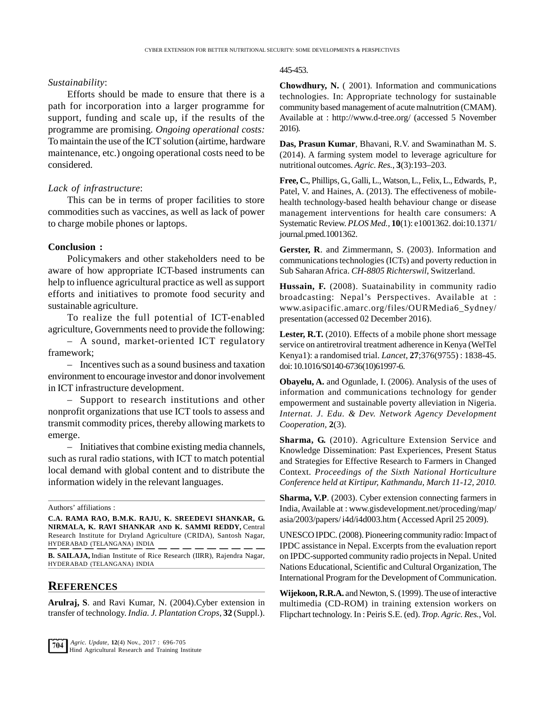#### *Sustainability*:

Efforts should be made to ensure that there is a path for incorporation into a larger programme for support, funding and scale up, if the results of the programme are promising. *Ongoing operational costs:* To maintain the use of the ICT solution (airtime, hardware maintenance, etc.) ongoing operational costs need to be considered.

### *Lack of infrastructure*:

This can be in terms of proper facilities to store commodities such as vaccines, as well as lack of power to charge mobile phones or laptops.

#### **Conclusion :**

Policymakers and other stakeholders need to be aware of how appropriate ICT-based instruments can help to influence agricultural practice as well as support efforts and initiatives to promote food security and sustainable agriculture.

To realize the full potential of ICT-enabled agriculture, Governments need to provide the following:

– A sound, market-oriented ICT regulatory framework;

– Incentives such as a sound business and taxation environment to encourage investor and donor involvement in ICT infrastructure development.

– Support to research institutions and other nonprofit organizations that use ICT tools to assess and transmit commodity prices, thereby allowing markets to emerge.

– Initiatives that combine existing media channels, such as rural radio stations, with ICT to match potential local demand with global content and to distribute the information widely in the relevant languages.

Authors' affiliations :

**C.A. RAMA RAO, B.M.K. RAJU, K. SREEDEVI SHANKAR, G. NIRMALA, K. RAVI SHANKAR AND K. SAMMI REDDY,** Central Research Institute for Dryland Agriculture (CRIDA), Santosh Nagar, HYDERABAD (TELANGANA) INDIA

**B. SAILAJA,** Indian Institute of Rice Research (IIRR), Rajendra Nagar, HYDERABAD (TELANGANA) INDIA

#### **REFERENCES**

**Arulraj, S**. and Ravi Kumar, N. (2004).Cyber extension in transfer of technology. *India. J. Plantation Crops*, **32** (Suppl.).

#### 445-453.

**Chowdhury, N.** ( 2001). Information and communications technologies. In: Appropriate technology for sustainable community based management of acute malnutrition (CMAM). Available at : http://www.d-tree.org/ (accessed 5 November 2016).

**Das, Prasun Kumar**, Bhavani, R.V. and Swaminathan M. S. (2014). A farming system model to leverage agriculture for nutritional outcomes. *Agric. Res.*, **3**(3):193–203.

**Free, C.**, Phillips, G., Galli, L., Watson, L., Felix, L., Edwards, P., Patel, V. and Haines, A. (2013). The effectiveness of mobilehealth technology-based health behaviour change or disease management interventions for health care consumers: A Systematic Review. *PLOS Med.,* **10**(1): e1001362. doi:10.1371/ journal.pmed.1001362.

**Gerster, R**. and Zimmermann, S. (2003). Information and communications technologies (ICTs) and poverty reduction in Sub Saharan Africa. *CH-8805 Richterswil*, Switzerland.

**Hussain, F.** (2008). Suatainability in community radio broadcasting: Nepal's Perspectives. Available at : www.asipacific.amarc.org/files/OURMedia6\_Sydney/ presentation (accessed 02 December 2016).

Lester, R.T. (2010). Effects of a mobile phone short message service on antiretroviral treatment adherence in Kenya (WelTel Kenya1): a randomised trial. *Lancet*, **27**;376(9755) : 1838-45. doi: 10.1016/S0140-6736(10)61997-6.

**Obayelu, A.** and Ogunlade, I. (2006). Analysis of the uses of information and communications technology for gender empowerment and sustainable poverty alleviation in Nigeria. *Internat. J. Edu. & Dev. Network Agency Development Cooperation,* **2**(3).

**Sharma, G.** (2010). Agriculture Extension Service and Knowledge Dissemination: Past Experiences, Present Status and Strategies for Effective Research to Farmers in Changed Context. *Proceedings of the Sixth National Horticulture Conference held at Kirtipur, Kathmandu, March 11-12, 2010.*

**Sharma, V.P**. (2003). Cyber extension connecting farmers in India, Available at : www.gisdevelopment.net/proceding/map/ asia/2003/papers/ i4d/i4d003.htm ( Accessed April 25 2009).

UNESCO IPDC. (2008). Pioneering community radio: Impact of IPDC assistance in Nepal. Excerpts from the evaluation report on IPDC-supported community radio projects in Nepal. United Nations Educational, Scientific and Cultural Organization, The International Program for the Development of Communication.

**Wijekoon, R.R.A.** and Newton, S. (1999). The use of interactive multimedia (CD-ROM) in training extension workers on Flipchart technology. In : Peiris S.E. (ed). *Trop. Agric. Res.*, Vol.